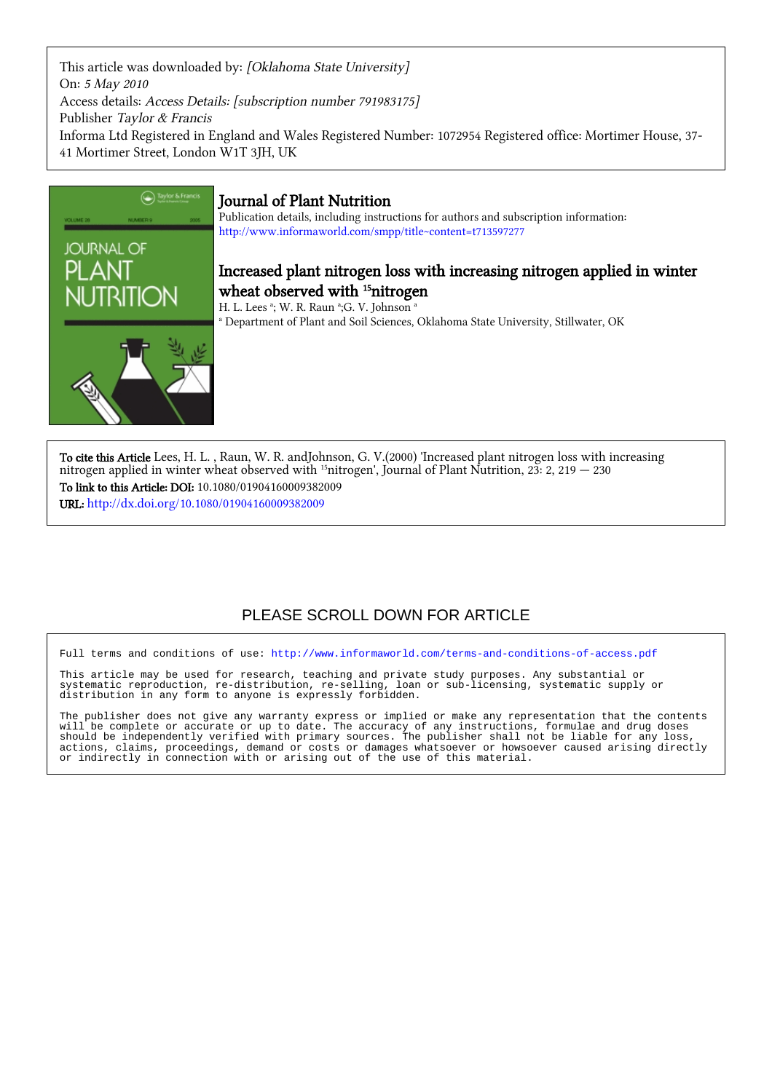This article was downloaded by: [Oklahoma State University] On: 5 May 2010 Access details: Access Details: [subscription number 791983175] Publisher Taylor & Francis Informa Ltd Registered in England and Wales Registered Number: 1072954 Registered office: Mortimer House, 37- 41 Mortimer Street, London W1T 3JH, UK



## Journal of Plant Nutrition

Publication details, including instructions for authors and subscription information: <http://www.informaworld.com/smpp/title~content=t713597277>

## Increased plant nitrogen loss with increasing nitrogen applied in winter wheat observed with <sup>15</sup>nitrogen

H. L. Lees <sup>a</sup>; W. R. Raun <sup>a</sup>;G. V. Johnson <sup>a</sup> a Department of Plant and Soil Sciences, Oklahoma State University, Stillwater, OK

To cite this Article Lees, H. L. , Raun, W. R. andJohnson, G. V.(2000) 'Increased plant nitrogen loss with increasing nitrogen applied in winter wheat observed with <sup>15</sup>nitrogen', Journal of Plant Nutrition, 23: 2, 219  $-$  230 To link to this Article: DOI: 10.1080/01904160009382009 URL: <http://dx.doi.org/10.1080/01904160009382009>

## PLEASE SCROLL DOWN FOR ARTICLE

Full terms and conditions of use:<http://www.informaworld.com/terms-and-conditions-of-access.pdf>

This article may be used for research, teaching and private study purposes. Any substantial or systematic reproduction, re-distribution, re-selling, loan or sub-licensing, systematic supply or distribution in any form to anyone is expressly forbidden.

The publisher does not give any warranty express or implied or make any representation that the contents will be complete or accurate or up to date. The accuracy of any instructions, formulae and drug doses should be independently verified with primary sources. The publisher shall not be liable for any loss, actions, claims, proceedings, demand or costs or damages whatsoever or howsoever caused arising directly or indirectly in connection with or arising out of the use of this material.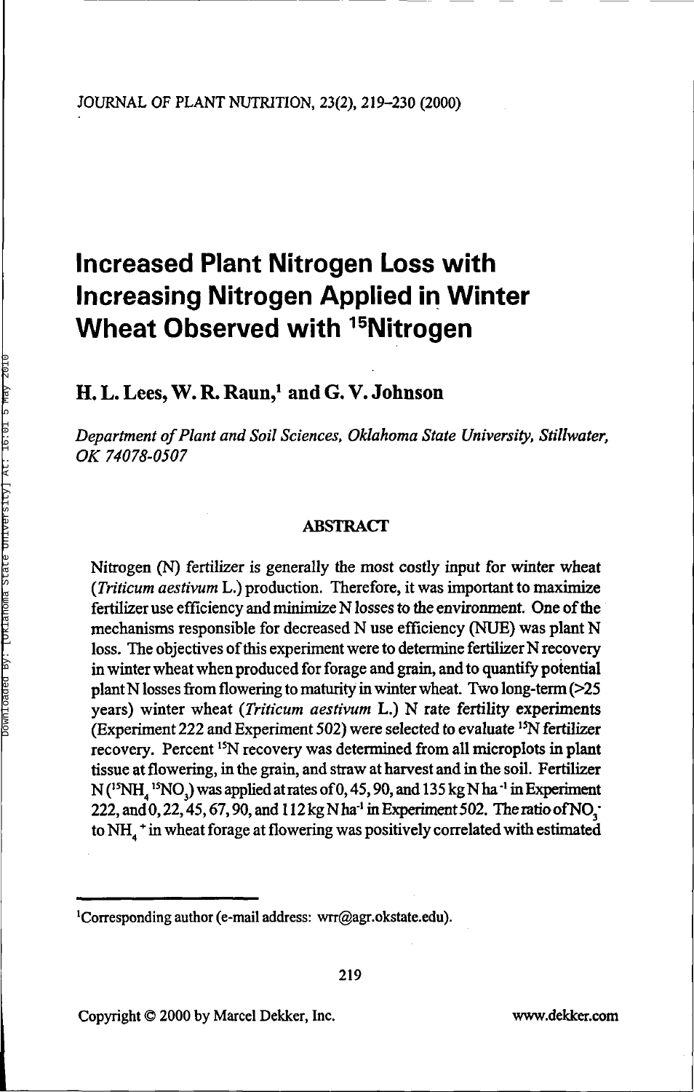# **Increased Plant Nitrogen Loss with Increasing Nitrogen Applied in Winter Wheat Observed with <sup>15</sup>Nitrogen**

## **H. L. Lees, W. R. Raun,<sup>1</sup> and G. V. Johnson**

*Department of Plant and Soil Sciences, Oklahoma State University, Stillwater, OK 74078-0507*

#### ABSTRACT

Nitrogen (N) fertilizer is generally the most costly input for winter wheat (*Triticum aestivum* L.) production. Therefore, it was important to maximize fertilizer use efficiency and minimize N losses to the environment. One of the mechanisms responsible for decreased N use efficiency (NUE) was plant N loss. The objectives of this experiment were to determine fertilizer N recovery in winter wheat when produced for forage and grain, and to quantify potential plant N losses from flowering to maturity in winter wheat. Two long-term (>25 years) winter wheat *(Triticum aestivum* L.) N rate fertility experiments (Experiment 222 and Experiment 502) were selected to evaluate <sup>15</sup>N fertilizer recovery. Percent <sup>15</sup>N recovery was determined from all microplots in plant tissue at flowering, in the grain, and straw at harvest and in the soil. Fertilizer  $N(^{15}NH,~^{15}NO)$  was applied at rates of 0, 45, 90, and 135 kg N ha<sup>-1</sup> in Experiment 222, and 0, 22, 45, 67, 90, and 112 kg N ha<sup>-1</sup> in Experiment 502. The ratio of NO<sub>3</sub> to NH $_1$ <sup>+</sup> in wheat forage at flowering was positively correlated with estimated

<sup>1</sup>Corresponding author (e-mail address: wrr@agr.okstate.edu).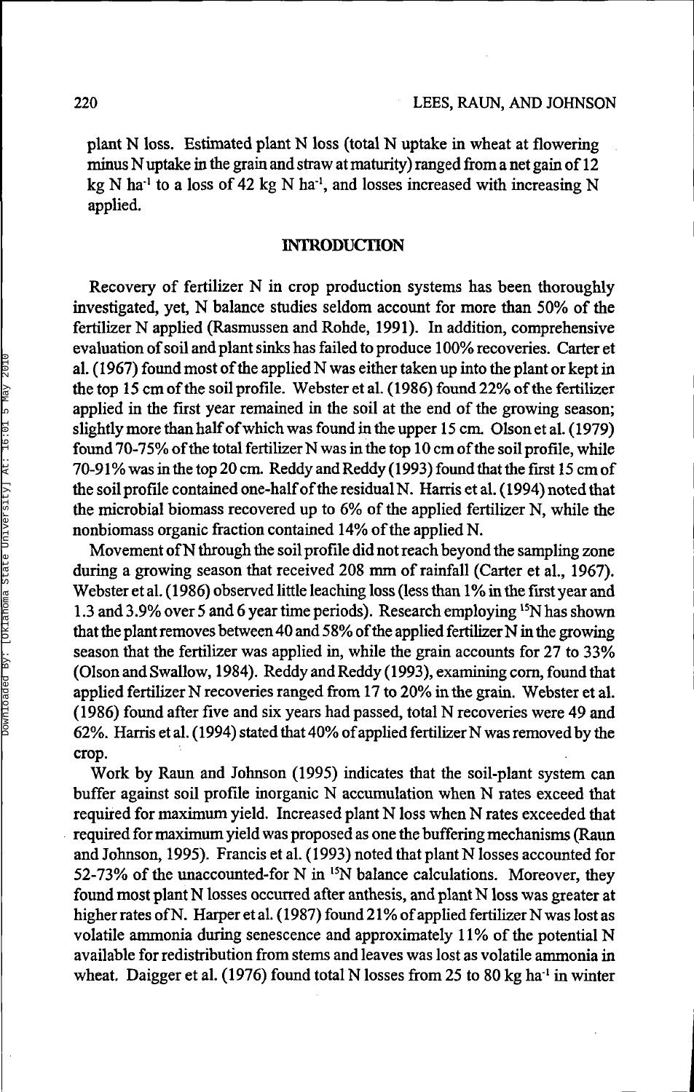plant N loss. Estimated plant N loss (total N uptake in wheat at flowering minus N uptake in the grain and straw at maturity) ranged from a net gain of 12 kg N ha<sup>-1</sup> to a loss of 42 kg N ha<sup>-1</sup>, and losses increased with increasing N applied.

### INTRODUCTION

Recovery of fertilizer N in crop production systems has been thoroughly investigated, yet, N balance studies seldom account for more than 50% of the fertilizer N applied (Rasmussen and Rohde, 1991). In addition, comprehensive evaluation of soil and plant sinks has failed to produce 100% recoveries. Carter et al. (1967) found most of the applied N was either taken up into the plant or kept in the top 15 cm of the soil profile. Webster et al. (1986) found 22% of the fertilizer applied in the first year remained in the soil at the end of the growing season; slightly more than half of which was found in the upper 15 cm. Olson et al. ( 1979) found 70-75% of the total fertilizer N was in the top 10 cm of the soil profile, while 70-91% was in the top 20 cm. Reddy and Reddy (1993) found that the first 15 cm of the soil profile contained one-half of the residual N. Harris et al. (1994) noted that the microbial biomass recovered up to 6% of the applied fertilizer N, while the nonbiomass organic fraction contained 14% of the applied N.

Movement of N through the soil profile did not reach beyond the sampling zone during a growing season that received 208 mm of rainfall (Carter et al., 1967). Webster et al. (1986) observed little leaching loss (less than 1% in the first year and 1.3 and 3.9% over 5 and 6 year time periods). Research employing <sup>15</sup>N has shown that the plant removes between 40 and 58% of the applied fertilizer N in the growing season that the fertilizer was applied in, while the grain accounts for 27 to 33% (Olson and Swallow, 1984). Reddy and Reddy (1993), examining corn, found that applied fertilizer N recoveries ranged from 17 to 20% in the grain. Webster et al. (1986) found after five and six years had passed, total N recoveries were 49 and 62%. Harris et al. ( 1994) stated that 40% of applied fertilizer N was removed by the crop.

Work by Raun and Johnson (1995) indicates that the soil-plant system can buffer against soil profile inorganic N accumulation when N rates exceed that required for maximum yield. Increased plant N loss when N rates exceeded that required for maximum yield was proposed as one the buffering mechanisms (Raun and Johnson, 1995). Francis et al. (1993) noted that plant N losses accounted for 52-73% of the unaccounted-for N in <sup>15</sup>N balance calculations. Moreover, they found most plant N losses occurred after anthesis, and plant N loss was greater at higher rates of N. Harper et al. (1987) found 21% of applied fertilizer N was lost as volatile ammonia during senescence and approximately 11% of the potential N available for redistribution from stems and leaves was lost as volatile ammonia in wheat. Daigger et al.  $(1976)$  found total N losses from 25 to 80 kg ha<sup>-1</sup> in winter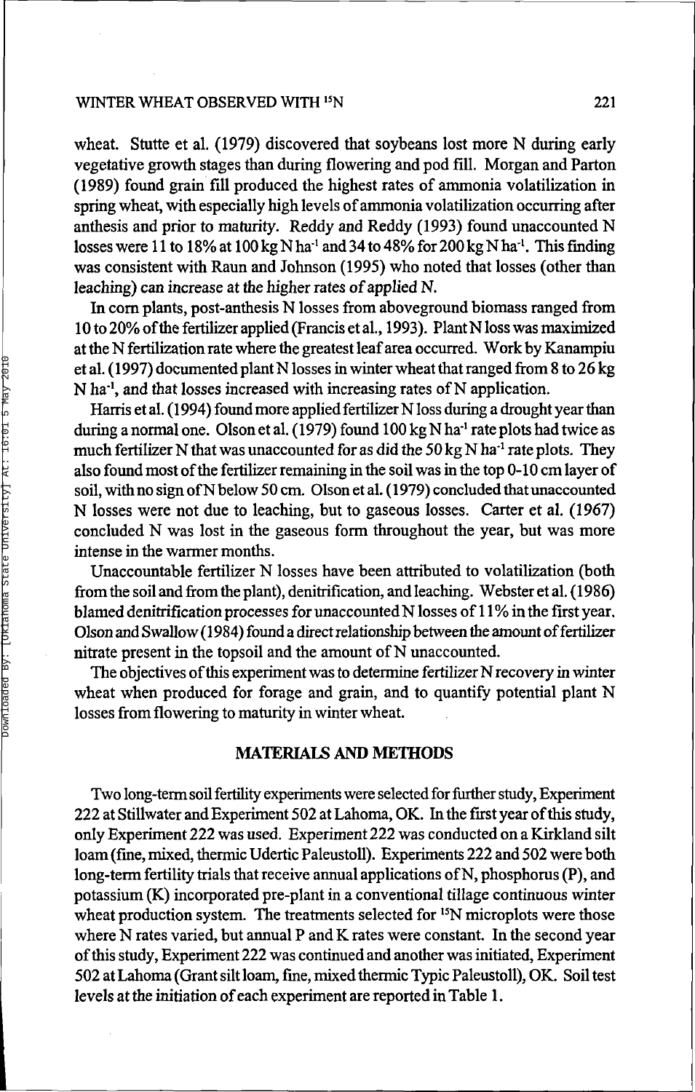#### WINTER WHEAT OBSERVED WITH <sup>15</sup>N  $15N$  221

wheat. Stutte et al. (1979) discovered that soybeans lost more N during early vegetative growth stages than during flowering and pod fill. Morgan and Parton (1989) found grain fill produced the highest rates of ammonia volatilization in spring wheat, with especially high levels of ammonia volatilization occurring after anthesis and prior to maturity. Reddy and Reddy (1993) found unaccounted N losses were 11 to 18% at 100 kg N ha<sup>-1</sup> and 34 to 48% for 200 kg N ha<sup>-1</sup>. This finding was consistent with Raun and Johnson (1995) who noted that losses (other than leaching) can increase at the higher rates of applied N.

In corn plants, post-anthesis N losses from aboveground biomass ranged from 10 to 20% of the fertilizer applied (Francis et al., 1993). Plant N loss was maximized at the N fertilization rate where the greatest leaf area occurred. Work by Kanampiu et al. ( 1997) documented plant N losses in winter wheat that ranged from 8 to 26 kg N ha<sup>-1</sup>, and that losses increased with increasing rates of N application.

Harris et al. ( 1994) found more applied fertilizer N loss during a drought year than during a normal one. Olson et al. (1979) found  $100 \text{ kg N}$  ha<sup>1</sup> rate plots had twice as much fertilizer N that was unaccounted for as did the 50 kg N ha<sup>-1</sup> rate plots. They also found most of the fertilizer remaining in the soil was in the top 0-10 cm layer of soil, with no sign of N below 50 cm. Olson et al. ( 1979) concluded that unaccounted N losses were not due to leaching, but to gaseous losses. Carter et al. (1967) concluded N was lost in the gaseous form throughout the year, but was more intense in the warmer months.

Unaccountable fertilizer N losses have been attributed to volatilization (both from the soil and from the plant), denitrification, and leaching. Webster et al. (1986) blamed denirrification processes for unaccounted N losses of 11 % in the first year. Olson and Swallow (1984) found a direct relationship between the amount of fertilizer nitrate present in the topsoil and the amount of N unaccounted.

The objectives of this experiment was to determine fertilizer N recovery in winter wheat when produced for forage and grain, and to quantify potential plant N losses from flowering to maturity in winter wheat.

### **MATERIALS AND METHODS**

Two long-term soil fertility experiments were selected for further study, Experiment 222 at Stillwater and Experiment 502 at Lahoma, OK. In the first year of this study, only Experiment 222 was used. Experiment 222 was conducted on a Kirkland silt loam (fine, mixed, thermic Udertic Paleustoll). Experiments 222 and 502 were both long-term fertility trials that receive annual applications of N, phosphorus (P), and potassium (K) incorporated pre-plant in a conventional tillage continuous winter wheat production system. The treatments selected for <sup>15</sup>N microplots were those where N rates varied, but annual P and K rates were constant. In the second year of this study, Experiment 222 was continued and another was initiated, Experiment 502 at Lahoma (Grant silt loam, fine, mixed thermic Typic Paleustoll), OK. Soil test levels at the initiation of each experiment are reported in Table 1.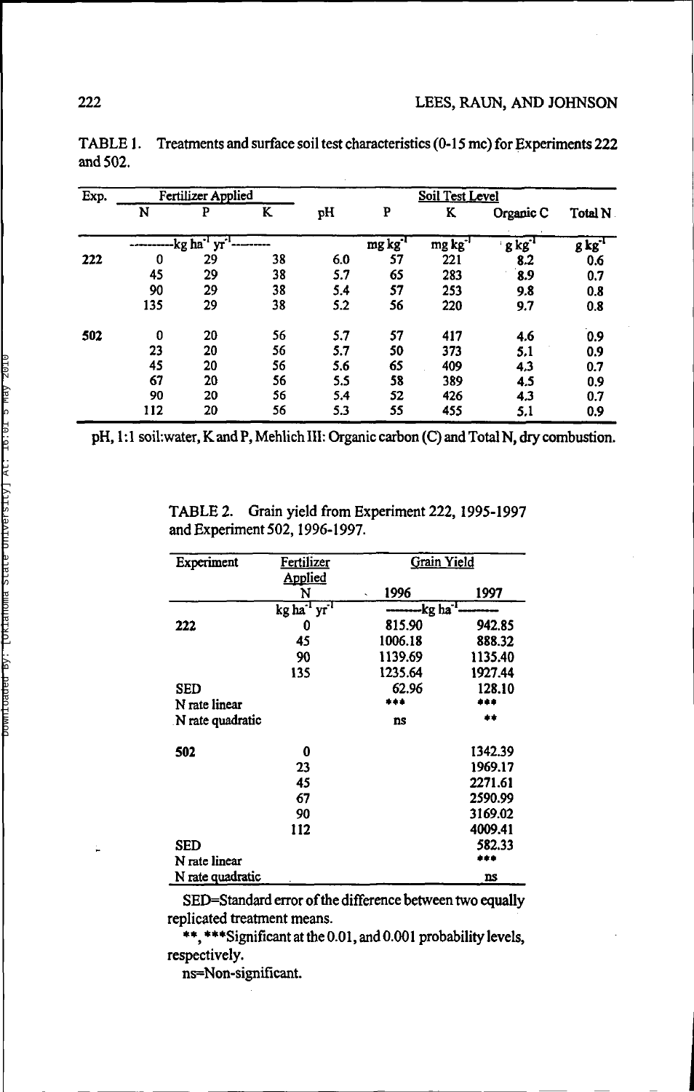| Exp. | Fertilizer Applied |                                    |    | <b>Soil Test Level</b> |                     |                     |                     |                |  |
|------|--------------------|------------------------------------|----|------------------------|---------------------|---------------------|---------------------|----------------|--|
|      | N                  | P                                  | K  | pН                     | P                   | K                   | Organic C           | <b>Total N</b> |  |
|      |                    | $\overline{yr}$<br>$-kg$ $ha^{-1}$ |    |                        | mg kg <sup>-1</sup> | mg kg <sup>-1</sup> | $g kg$ <sup>1</sup> | $g\,kg^{1}$    |  |
| 222  | 0                  | 29                                 | 38 | 6.0                    | 57                  | 221                 | 8.2                 | 0.6            |  |
|      | 45                 | 29                                 | 38 | 5.7                    | 65                  | 283                 | 8.9                 | 0.7            |  |
|      | 90                 | 29                                 | 38 | 5.4                    | 57                  | 253                 | 9.8                 | 0.8            |  |
|      | 135                | 29                                 | 38 | 5.2                    | 56                  | 220                 | 9.7                 | 0.8            |  |
| 502  | 0                  | 20                                 | 56 | 5.7                    | 57                  | 417                 | 4.6                 | 0.9            |  |
|      | 23                 | 20                                 | 56 | 5.7                    | 50                  | 373                 | 5,1                 | 0.9            |  |
|      | 45                 | 20                                 | 56 | 5.6                    | 65                  | 409                 | 4,3                 | 0.7            |  |
|      | 67                 | 20                                 | 56 | 5.5                    | 58                  | 389                 | 4.5                 | 0.9            |  |
|      | 90                 | 20                                 | 56 | 5.4                    | 52                  | 426                 | 4.3                 | 0.7            |  |
|      | 112                | 20                                 | 56 | 5.3                    | 55                  | 455                 | 5.1                 | 0.9            |  |

TABLE 1. Treatments and surface soil test characteristics (0-15 me) for Experiments 222 and 502.

pH, 1:1 soil:water, K and P, Mehlich III: Organic carbon (C) and Total N, dry combustion.

TABLE 2. Grain yield from Experiment 222,1995-1997 and Experiment 502,1996-1997.

| Experiment       | Fertilizer                           | Grain Yield       |           |
|------------------|--------------------------------------|-------------------|-----------|
|                  | Applied                              |                   |           |
|                  | N                                    | 1996              | 1997      |
|                  | kg ha <sup>-1</sup> yr <sup>-1</sup> | $-$ kg ha $^{-1}$ |           |
|                  |                                      |                   |           |
| 222              | 0                                    | 815.90            | 942.85    |
|                  | 45                                   | 1006.18           | 888.32    |
|                  | 90                                   | 1139.69           | 1135.40   |
|                  | 135                                  | 1235.64           | 1927.44   |
| SED              |                                      | 62.96             | 128.10    |
| N rate linear    |                                      | ***               | .         |
| N rate quadratic |                                      | ns                |           |
| 502              | 0                                    |                   | 1342.39   |
|                  | 23                                   |                   | 1969.17   |
|                  | 45                                   |                   | 2271.61   |
|                  | 67                                   |                   | 2590.99   |
|                  | 90                                   |                   | 3169.02   |
|                  | 112                                  |                   | 4009.41   |
| SED              |                                      |                   | 582.33    |
| N rate linear    |                                      |                   |           |
| N rate quadratic |                                      |                   | <b>ns</b> |

SED=Standard error of the difference between two equally replicated treatment means.

\*\*, \*\*\*Significant at the 0.01, and 0.001 probability levels, respectively.

ns=Non-significant.

÷.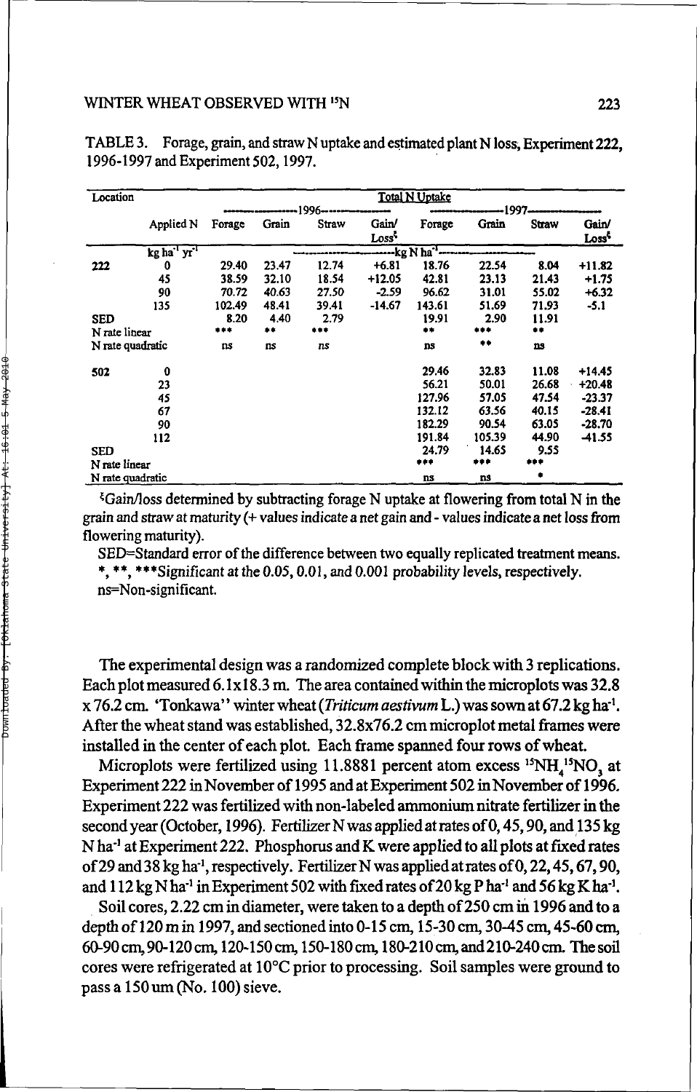| Location         |            |        |                |       | <b>Total N Uptake</b> |                             |        |       |                   |
|------------------|------------|--------|----------------|-------|-----------------------|-----------------------------|--------|-------|-------------------|
|                  |            |        | -1996–<br>1997 |       |                       |                             |        |       |                   |
|                  | Applied N  | Forage | Grain          | Straw | Gain/                 | Forage                      | Grain  | Straw | Gain/             |
|                  |            |        |                |       | Loss <sup>5</sup>     |                             |        |       | Loss <sup>5</sup> |
|                  | kg ha 'yr' |        |                |       |                       | --kg N ha <sup>-1</sup> --- |        |       |                   |
| 222              | 0          | 29.40  | 23.47          | 12.74 | +6.81                 | 18.76                       | 22.54  | 8.04  | $+11.82$          |
|                  | 45         | 38.59  | 32.10          | 18.54 | $+12.05$              | 42.81                       | 23.13  | 21.43 | $+1.75$           |
|                  | 90         | 70.72  | 40.63          | 27.50 | $-2.59$               | 96.62                       | 31.01  | 55.02 | $+6.32$           |
|                  | 135        | 102.49 | 48.41          | 39.41 | -14.67                | 143.61                      | 51.69  | 71.93 | $-5.1$            |
| SED              |            | 8.20   | 4.40           | 2.79  |                       | 19.91                       | 2.90   | 11.91 |                   |
| N rate linear    |            | ***    | **             | $***$ |                       | $\bullet\bullet$            | ***    |       |                   |
| N rate quadratic |            | ns     | ns             | ns    |                       | ns                          | **     | ns    |                   |
| 502              | $\bf{0}$   |        |                |       |                       | 29.46                       | 32.83  | 11.08 | +14.45            |
|                  | 23         |        |                |       |                       | 56.21                       | 50.01  | 26.68 | $+20.48$          |
|                  | 45         |        |                |       |                       | 127.96                      | 57.05  | 47.54 | $-23.37$          |
|                  | 67         |        |                |       |                       | 132.12                      | 63.56  | 40.15 | $-28.41$          |
|                  | 90         |        |                |       |                       | 182.29                      | 90.54  | 63.05 | $-28.70$          |
|                  | 112        |        |                |       |                       | 191.84                      | 105.39 | 44.90 | $-41.55$          |
| <b>SED</b>       |            |        |                |       |                       | 24.79                       | 14.65  | 9.55  |                   |
| N rate linear    |            |        |                |       |                       | ***                         | ***    |       |                   |
| N rate quadratic |            |        |                |       |                       | ns                          | ns     |       |                   |

TABLE 3. Forage, grain, and straw N uptake and estimated plant N loss, Experiment 222, 1996-1997 and Experiment 502,1997.

 $\frac{E}{G}$ Gain/loss determined by subtracting forage N uptake at flowering from total N in the grain and straw at maturity (+ values indicate a net gain and - values indicate a net loss from flowering maturity).

SED=Standard error of the difference between two equally replicated treatment means. \*, \*\*, \*\*\*Significant at the 0.05,0.01, and 0.001 probability levels, respectively. ns=Non-significant.

The experimental design was a randomized complete block with 3 replications. Each plot measured 6.1x18.3 m. The area contained within the microplots was 32.8 x 76.2 cm. 'Tonkawa'' winter wheat (Triticum aestivum L.) was sown at 67.2 kg ha<sup>-1</sup>. After the wheat stand was established, 32.8x76.2 cm microplot metal frames were installed in the center of each plot. Each frame spanned four rows of wheat.

Microplots were fertilized using 11.8881 percent atom excess  $^{15}NH_{4}^{15}NO_{3}$  at Experiment 222 in November of 1995 and at Experiment 502 in November of 1996. Experiment 222 was fertilized with non-labeled ammonium nitrate fertilizer in the second year (October, 1996). Fertilizer N was applied at rates of 0, 45, 90, and 135 kg N ha<sup>-1</sup> at Experiment 222. Phosphorus and K were applied to all plots at fixed rates of 29 and 38 kg ha<sup>1</sup>, respectively. Fertilizer N was applied at rates of 0, 22, 45, 67, 90, and 112 kg N ha<sup>-1</sup> in Experiment 502 with fixed rates of 20 kg P ha<sup>-1</sup> and 56 kg K ha<sup>-1</sup>.

Soil cores, 2.22 cm in diameter, were taken to a depth of 250 cm in 1996 and to a depth of 120 m in 1997, and sectioned into 0-15 cm, 15-30 cm, 30-45 cm, 45-60 cm, 60-90 cm, 90-120 cm, 120-150 cm, 150-180 cm, 180-210cm,and210-240cm. The soil cores were refrigerated at 10°C prior to processing. Soil samples were ground to pass a 150 um (No. 100) sieve.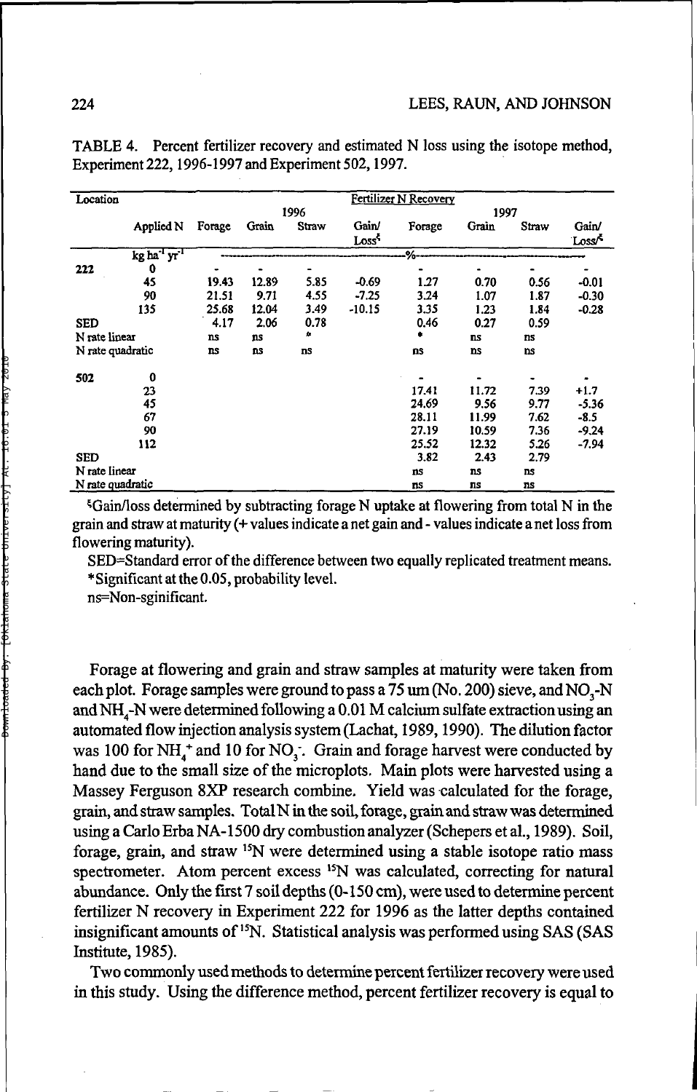| Location         |                                      |        |           |       |                   | Fertilizer N Recovery |           |           |                   |
|------------------|--------------------------------------|--------|-----------|-------|-------------------|-----------------------|-----------|-----------|-------------------|
|                  |                                      | 1996   |           |       |                   | 1997                  |           |           |                   |
|                  | Applied N                            | Forage | Grain     | Straw | Gain/             | Forage                | Grain     | Straw     | Gain/             |
|                  |                                      |        |           |       | Loss <sup>5</sup> |                       |           |           | Loss <sup>*</sup> |
|                  | kg ha <sup>-1</sup> yr <sup>-1</sup> |        |           |       |                   | -%-                   |           |           |                   |
| 222              | 0                                    |        |           |       |                   |                       |           |           |                   |
|                  | 45                                   | 19.43  | 12.89     | 5.85  | $-0.69$           | 1.27                  | 0.70      | 0.56      | $-0.01$           |
|                  | 90                                   | 21.51  | 9.71      | 4.55  | $-7.25$           | 3.24                  | 1.07      | 1.87      | $-0.30$           |
|                  | 135                                  | 25.68  | 12.04     | 3.49  | $-10.15$          | 3.35                  | 1.23      | 1.84      | $-0.28$           |
| SED              |                                      | 4.17   | 2.06      | 0.78  |                   | 0.46                  | 0.27      | 0.59      |                   |
| N rate linear    |                                      | ns     | ns        | ۰     |                   | ÷                     | <b>ns</b> | ns        |                   |
| N rate quadratic |                                      | ns     | <b>ns</b> | ns    |                   | ns                    | ns        | <b>DS</b> |                   |
| 502              | 0                                    |        |           |       |                   |                       |           |           |                   |
|                  | 23                                   |        |           |       |                   | 17.41                 | 11.72     | 7.39      | $+1.7$            |
|                  | 45                                   |        |           |       |                   | 24.69                 | 9.56      | 9.77      | $-5.36$           |
|                  | 67                                   |        |           |       |                   | 28.11                 | 11.99     | 7.62      | $-8.5$            |
|                  | 90                                   |        |           |       |                   | 27.19                 | 10.59     | 7.36      | $-9.24$           |
|                  | 112                                  |        |           |       |                   | 25.52                 | 12.32     | 5.26      | -7.94             |
| <b>SED</b>       |                                      |        |           |       |                   | 3.82                  | 2.43      | 2.79      |                   |
| N rate linear    |                                      |        |           |       |                   | ns                    | ns        | ns        |                   |
| N rate quadratic |                                      |        |           |       |                   | ПS                    | πs        | ns        |                   |

TABLE 4. Percent fertilizer recovery and estimated N loss using the isotope method, Experiment 222,1996-1997 and Experiment 502,1997.

^Gain/loss determined by subtracting forage N uptake at flowering from total N in the grain and straw at maturity (+ values indicate a net gain and - values indicate a net loss from flowering maturity).

SED=Standard error of the difference between two equally replicated treatment means. •Significant at the 0.05, probability level.

ns=Non-sginificant.

Forage at flowering and grain and straw samples at maturity were taken from each plot. Forage samples were ground to pass a 75 um (No. 200) sieve, and  $NO<sub>3</sub>-N$ and NH<sub>4</sub>-N were determined following a 0.01 M calcium sulfate extraction using an automated flow injection analysis system (Lachat, 1989,1990). The dilution factor was 100 for NH $_A^+$  and 10 for NO<sub>3</sub>. Grain and forage harvest were conducted by hand due to the small size of the microplots. Main plots were harvested using a Massey Ferguson 8XP research combine. Yield was calculated for the forage, grain, and straw samples. Total N in the soil, forage, grain and straw was determined using a Carlo Erba NA-1500 dry combustion analyzer (Schepers et al., 1989). Soil, forage, grain, and straw <sup>15</sup>N were determined using a stable isotope ratio mass spectrometer. Atom percent excess <sup>15</sup>N was calculated, correcting for natural abundance. Only the first 7 soil depths (0-150 cm), were used to determine percent fertilizer N recovery in Experiment 222 for 1996 as the latter depths contained  $\frac{1}{2}$  insignificant amounts of <sup>15</sup>N. Statistical analysis was performed using SAS (SAS) Institute, 1985).

Two commonly used methods to determine percent fertilizer recovery were used in this study. Using the difference method, percent fertilizer recovery is equal to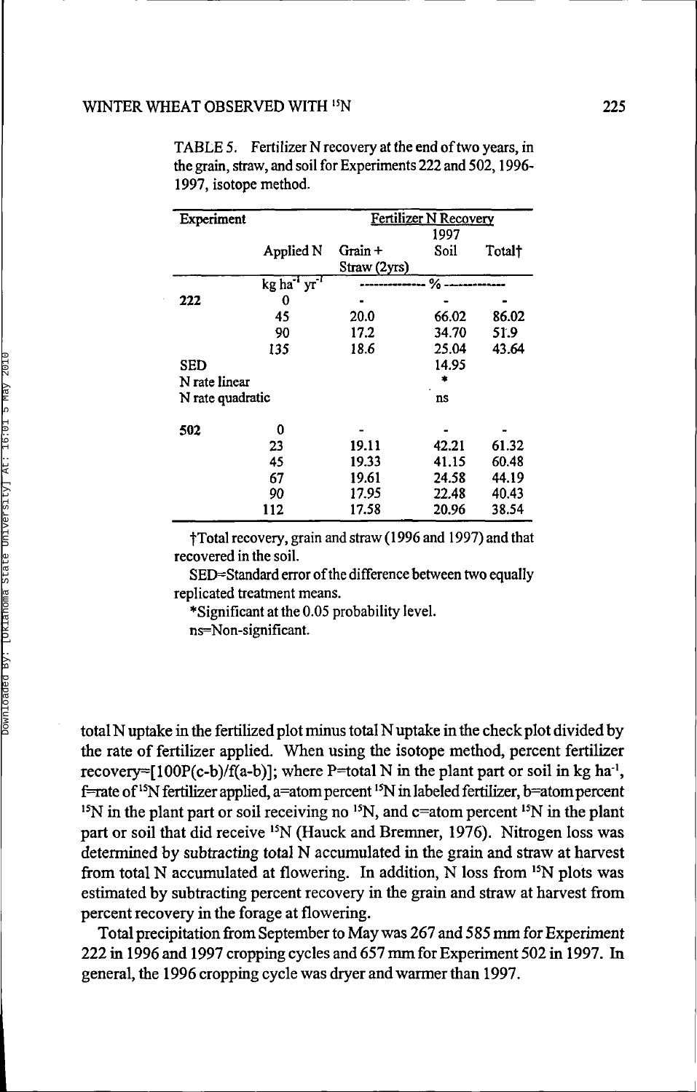| Experiment       |                                      | Fertilizer N Recovery |               |        |  |  |  |
|------------------|--------------------------------------|-----------------------|---------------|--------|--|--|--|
|                  |                                      |                       | 1997          |        |  |  |  |
|                  | Applied N                            | Grain +               | Soil          | Total† |  |  |  |
|                  |                                      | Straw (2yrs)          |               |        |  |  |  |
|                  | kg ha <sup>-1</sup> yr <sup>-1</sup> |                       | $\%$ -------- |        |  |  |  |
| 222              | 0                                    |                       |               |        |  |  |  |
|                  | 45                                   | 20.0                  | 66.02         | 86.02  |  |  |  |
|                  | 90                                   | 17.2                  | 34.70         | 51.9   |  |  |  |
|                  | 135                                  | 18.6                  | 25.04         | 43.64  |  |  |  |
| <b>SED</b>       |                                      |                       | 14.95         |        |  |  |  |
| N rate linear    |                                      |                       |               |        |  |  |  |
| N rate quadratic |                                      |                       | ns            |        |  |  |  |
|                  |                                      |                       |               |        |  |  |  |
| 502              | 0                                    |                       |               |        |  |  |  |
|                  | 23                                   | 19.11                 | 42.21         | 61.32  |  |  |  |
|                  | 45                                   | 19.33                 | 41.15         | 60.48  |  |  |  |
|                  | 67                                   | 19.61                 | 24.58         | 44.19  |  |  |  |
|                  | 90                                   | 17.95                 | 22.48         | 40.43  |  |  |  |
|                  | 112                                  | 17.58                 | 20.96         | 38.54  |  |  |  |

TABLE 5. Fertilizer N recovery at the end of two years, in the grain, straw, and soil for Experiments 222 and 502,1996- 1997, isotope method.

fTotal recovery, grain and straw ( 1996 and 1997) and that recovered in the soil.

SED=Standard error of the difference between two equally replicated treatment means.

\*Significant at the 0.05 probability level. ns=Non-significant.

total N uptake in the fertilized plot minus total N uptake in the check plot divided by the rate of fertilizer applied. When using the isotope method, percent fertilizer recovery=[100P(c-b)/f(a-b)]; where P=total N in the plant part or soil in kg ha<sup>-1</sup>, f=rate of <sup>15</sup>N fertilizer applied, a=atom percent <sup>15</sup>N in labeled fertilizer, b=atom percen  $^{15}N$  in the plant part or soil receiving no  $^{15}N$ , and c=atom percent  $^{15}N$  in the plan part or soil that did receive <sup>15</sup>N (Hauck and Bremner, 1976). Nitrogen loss was determined by subtracting total N accumulated in the grain and straw at harvest from total N accumulated at flowering. In addition,  $\overline{N}$  loss from <sup>15</sup>N plots was estimated by subtracting percent recovery in the grain and straw at harvest from percent recovery in the forage at flowering.

Total precipitation from September to May was 267 and 585 mm for Experiment 222 in 1996 and 1997 cropping cycles and 657 mm for Experiment 502 in 1997. In general, the 1996 cropping cycle was dryer and warmer than 1997.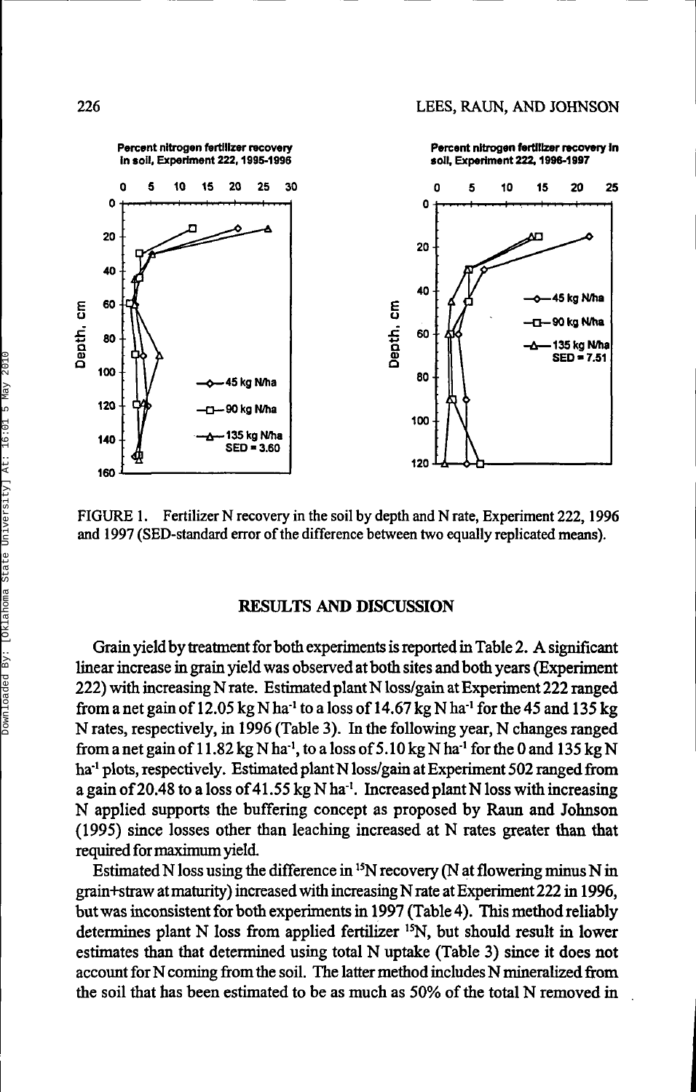

FIGURE 1. Fertilizer N recovery in the soil by depth and N rate, Experiment 222,1996 and 1997 (SED-standard error of the difference between two equally replicated means).

#### **RESULTS AND DISCUSSION**

Grain yield by treatment for both experiments is reported in Table 2. A significant linear increase in grain yield was observed at both sites and both years (Experiment 222) with increasing N rate. Estimated plant N loss/gain at Experiment 222 ranged from a net gain of  $12.05 \text{ kg N}$  ha<sup>-1</sup> to a loss of  $14.67 \text{ kg N}$  ha<sup>-1</sup> for the 45 and  $135 \text{ kg}$ N rates, respectively, in 1996 (Table 3). In the following year, N changes ranged from a net gain of 11.82 kg N ha<sup>-1</sup>, to a loss of 5.10 kg N ha<sup>-1</sup> for the 0 and 135 kg N ha<sup>-1</sup> plots, respectively. Estimated plant N loss/gain at Experiment 502 ranged from a gain of 20.48 to a loss of 41.55 kg N ha<sup>-1</sup>. Increased plant N loss with increasing N applied supports the buffering concept as proposed by Raun and Johnson (1995) since losses other than leaching increased at N rates greater than that required for maximum yield.

Estimated N loss using the difference in <sup>15</sup>N recovery (N at flowering minus N in grain+straw at maturity) increased with increasing N rate at Experiment 222 in 1996, but was inconsistent for both experiments in 1997 (Table 4). This method reliably determines plant N loss from applied fertilizer <sup>15</sup>N, but should result in lower estimates than that determined using total N uptake (Table 3) since it does not account for N coming from the soil. The latter method includes N mineraüzed from the soil that has been estimated to be as much as 50% of the total N removed in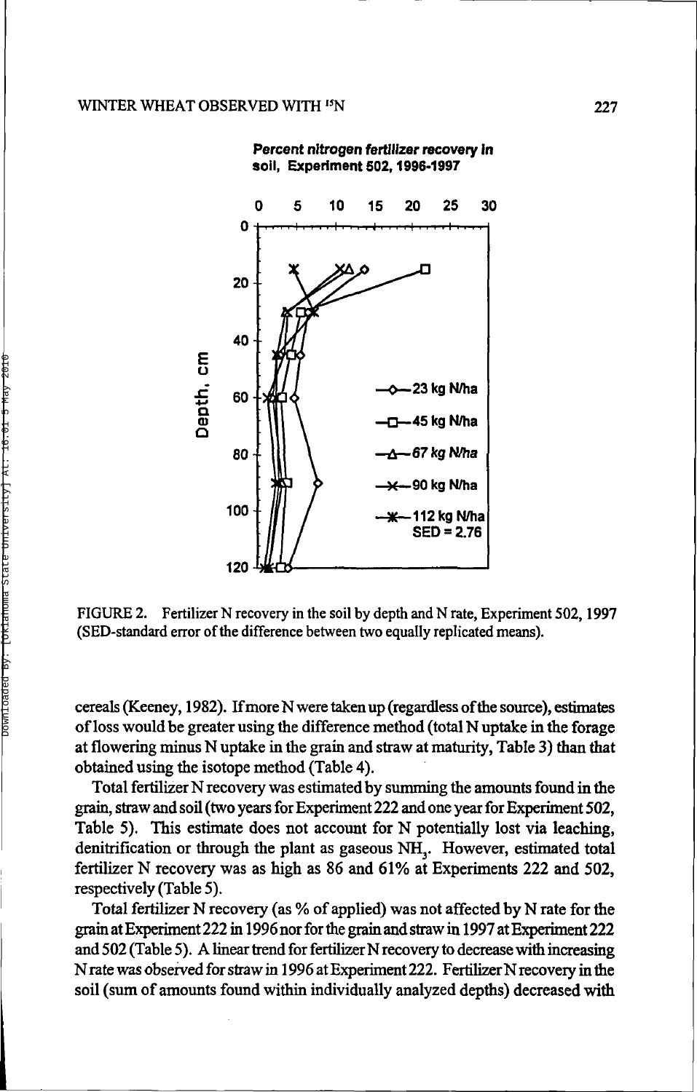

**Percent nitrogen fertilizer recovery in soil, Experiment 502,1996-1997**

FIGURE 2. Fertilizer N recovery in the soil by depth and N rate, Experiment 502,1997 (SED-standard error of the difference between two equally replicated means).

cereals (Keeney, 1982). If more N were taken up (regardless of the source), estimates of loss would be greater using the difference method (total N uptake in the forage at flowering minus N uptake in the grain and straw at maturity, Table 3) than that obtained using the isotope method (Table 4).

Total fertilizer N recovery was estimated by summing the amounts found in the grain, straw and soil (two years for Experiment 222 and one year for Experiment 502, Table 5). This estimate does not account for N potentially lost via leaching, denitrification or through the plant as gaseous NH<sub>3</sub>. However, estimated total fertilizer N recovery was as high as 86 and 61% at Experiments 222 and 502, respectively (Table 5).

Total fertilizer N recovery (as % of applied) was not affected by N rate for the grain at Experiment 222 in 1996 nor for the grain and straw in 1997 at Experiment 222 and 502 (Table 5). A linear trend for fertilizer N recovery to decrease with increasing N rate was observed for straw in 1996 at Experiment 222. Fertilizer N recovery in the soil (sum of amounts found within individually analyzed depths) decreased with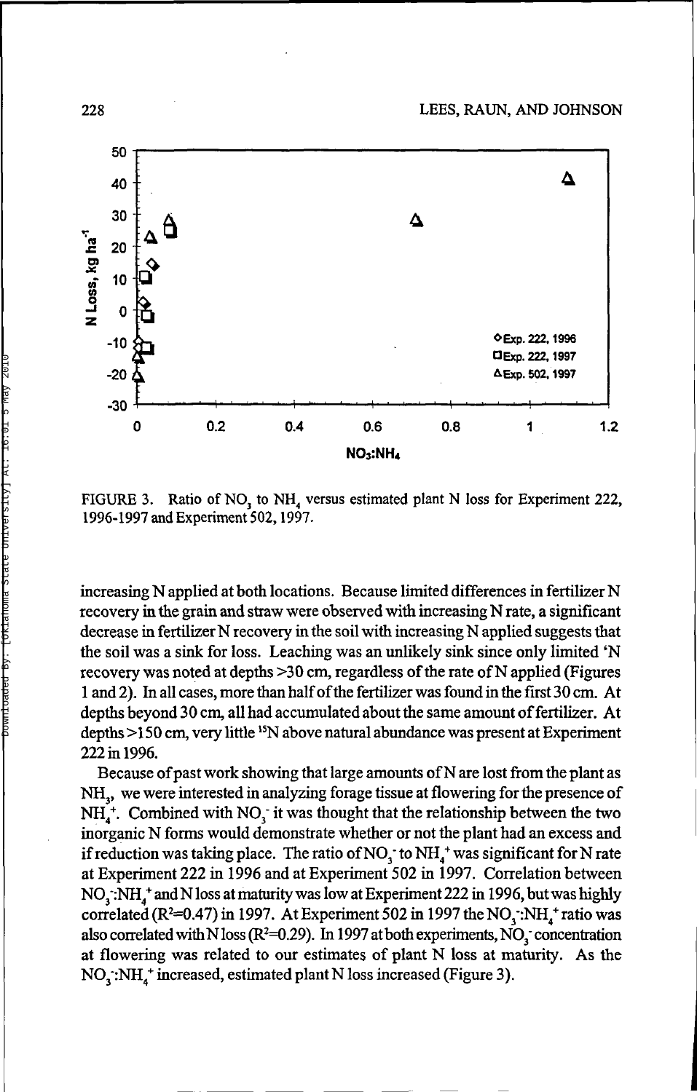

FIGURE 3. Ratio of NO<sub>3</sub> to NH<sub>4</sub> versus estimated plant N loss for Experiment 222, 1996-1997 and Experiment 502,1997.

increasing N applied at both locations. Because limited differences in fertilizer N recovery in the grain and straw were observed with increasing N rate, a significant decrease in fertilizer N recovery in the soil with increasing N applied suggests that the soil was a sink for loss. Leaching was an unlikely sink since only limited 'N recovery was noted at depths >30 cm, regardless of the rate of N applied (Figures 1 and 2). In all cases, more than half of the fertilizer was found in the first 30 cm. At depths beyond 30 cm, all had accumulated about the same amount of fertilizer. At depths >150 cm, very little <sup>15</sup>N above natural abundance was present at Experiment 222 in 1996.

Because of past work showing that large amounts of N are lost from the plant as NH<sub>3</sub>, we were interested in analyzing forage tissue at flowering for the presence of  $NH_4^*$ . Combined with NO<sub>3</sub> it was thought that the relationship between the two inorganic N forms would demonstrate whether or not the plant had an excess and if reduction was taking place. The ratio of NO<sub>3</sub> to NH<sub>4</sub><sup>+</sup> was significant for N rate at Experiment 222 in 1996 and at Experiment 502 in 1997. Correlation between NO<sub>3</sub>:NH<sub>4</sub><sup>+</sup> and N loss at maturity was low at Experiment 222 in 1996, but was highly  $\frac{1}{2}$  correlated (R<sup>2</sup>=0.47) in 1997. At Experiment 502 in 1997 the NO<sub>3</sub>: NH<sub>4</sub>+ ratio was also correlated with N loss ( $R^2$ =0.29). In 1997 at both experiments, NO<sub>3</sub> concentration at flowering was related to our estimates of plant N loss at maturity. As the NO<sub>3</sub>:NH,<sup>+</sup> increased, estimated plant N loss increased (Figure 3).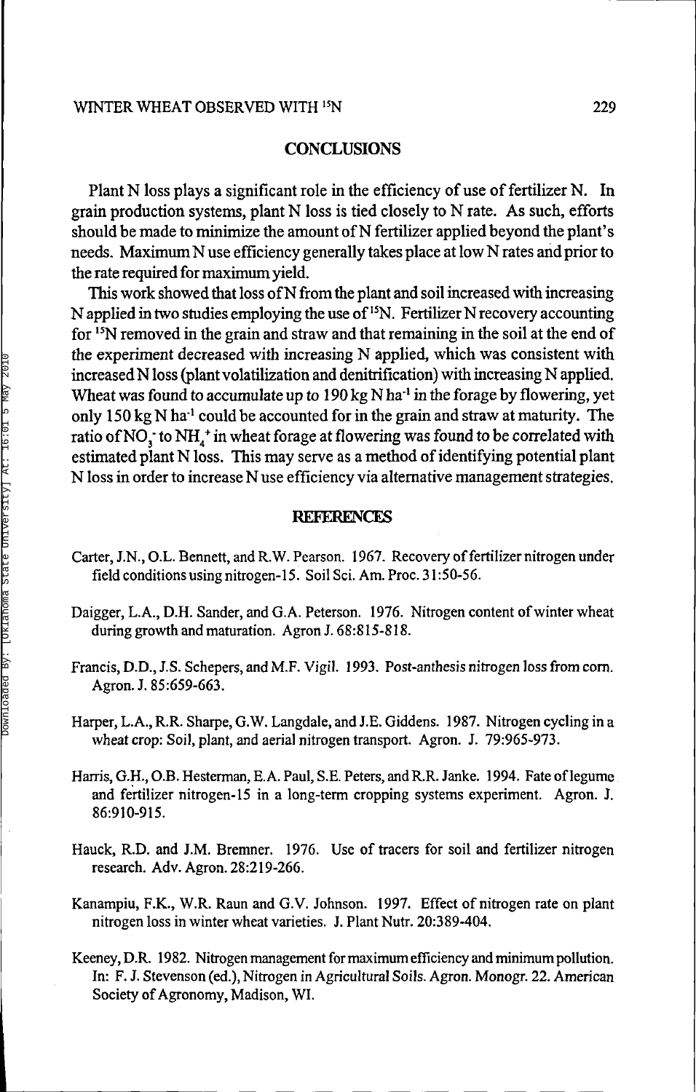#### **CONCLUSIONS**

Plant N loss plays a significant role in the efficiency of use of fertilizer N. In grain production systems, plant N loss is tied closely to N rate. As such, efforts should be made to minimize the amount of N fertilizer applied beyond the plant's needs. Maximum N use efficiency generally takes place at low N rates and prior to the rate required for maximum yield.

This work showed that loss of N from the plant and soil increased with increasing N applied in two studies employing the use of <sup>15</sup>N. Fertilizer N recovery accounting for <sup>15</sup>N removed in the grain and straw and that remaining in the soil at the end of the experiment decreased with increasing N applied, which was consistent with increased N loss (plant volatilization and denitrification) with increasing N applied. Wheat was found to accumulate up to  $190 \text{ kg N}$  ha<sup>-1</sup> in the forage by flowering, yet only 150 kg N ha<sup>-1</sup> could be accounted for in the grain and straw at maturity. The ratio of NO<sub>3</sub> to NH<sub>4</sub><sup>+</sup> in wheat forage at flowering was found to be correlated with estimated plant N loss. This may serve as a method of identifying potential plant N loss in order to increase N use efficiency via alternative management strategies.

#### **REFERENCES**

- Carter, J.N., O.L. Bennett, and R.W. Pearson. 1967. Recovery of fertilizer nitrogen under field conditions using nitrogen-15. Soil Sci. Am. Proc. 31:50-56.
- Daigger, L.A., D.H. Sander, and G.A. Peterson. 1976. Nitrogen content of winter wheat during growth and maturation. Agron J. 68:815-818.
- Francis, D.D., J.S. Schepers, and M.F. Vigil. 1993. Post-anthesis nitrogen loss from corn. Agron. J. 85:659-663.
- Harper, L.A., R.R. Sharpe, G.W. Langdale, and J.E. Giddens. 1987. Nitrogen cycling in a wheat crop: Soil, plant, and aerial nitrogen transport. Agron. J. 79:965-973.
- Harris, G.H., O.B. Hesterman, E. A. Paul, S.E. Peters, and R.R. Janke. 1994. Fate of legume and fertilizer nitrogen-15 in a long-term cropping systems experiment. Agron. J. 86:910-915.
- Hauck, R.D. and J.M. Bremner. 1976. Use of tracers for soil and fertilizer nitrogen research. Adv. Agron. 28:219-266.
- Kanampiu, F.K., W.R. Raun and G.V. Johnson. 1997. Effect of nitrogen rate on plant nitrogen loss in winter wheat varieties. J. Plant Nutr. 20:389-404.
- Keeney, D.R. 1982. Nitrogen management for maximum efficiency and minimum pollution. In: F. J. Stevenson (ed.), Nitrogen in Agricultural Soils. Agron. Monogr. 22. American Society of Agronomy, Madison, WI.